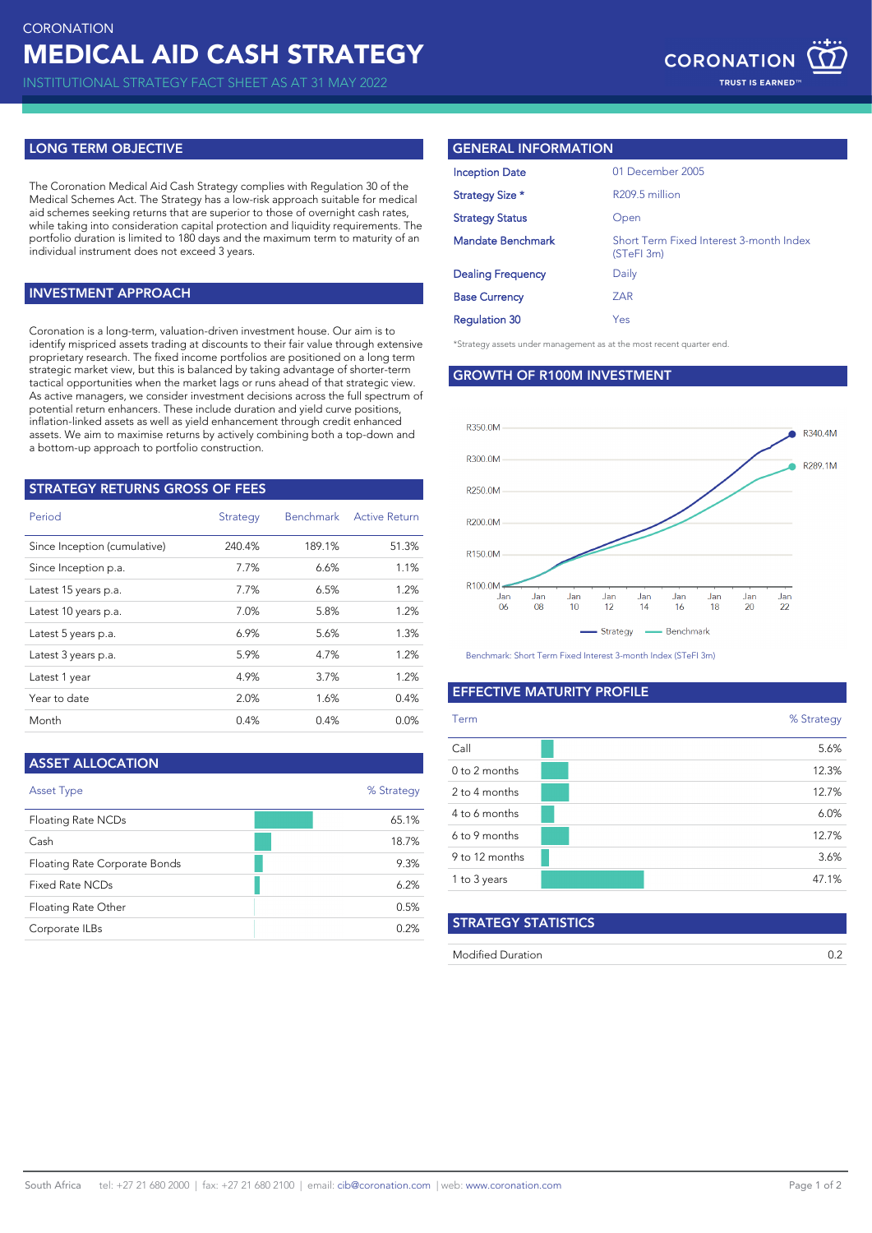# **LONG TERM OBJECTIVE**

The Coronation Medical Aid Cash Strategy complies with Regulation 30 of the Medical Schemes Act. The Strategy has a low-risk approach suitable for medical aid schemes seeking returns that are superior to those of overnight cash rates, while taking into consideration capital protection and liquidity requirements. The portfolio duration is limited to 180 days and the maximum term to maturity of an individual instrument does not exceed 3 years.

## **INVESTMENT APPROACH**

Coronation is a long-term, valuation-driven investment house. Our aim is to identify mispriced assets trading at discounts to their fair value through extensive proprietary research. The fixed income portfolios are positioned on a long term strategic market view, but this is balanced by taking advantage of shorter-term tactical opportunities when the market lags or runs ahead of that strategic view. As active managers, we consider investment decisions across the full spectrum of potential return enhancers. These include duration and yield curve positions, inflation-linked assets as well as yield enhancement through credit enhanced assets. We aim to maximise returns by actively combining both a top-down and a bottom-up approach to portfolio construction.

| <b>STRATEGY RETURNS GROSS OF FEES</b> |          |           |                      |  |  |  |  |
|---------------------------------------|----------|-----------|----------------------|--|--|--|--|
| Period                                | Strategy | Benchmark | <b>Active Return</b> |  |  |  |  |
| Since Inception (cumulative)          | 240.4%   | 189.1%    | 51.3%                |  |  |  |  |
| Since Inception p.a.                  | 7.7%     | 6.6%      | 1.1%                 |  |  |  |  |
| Latest 15 years p.a.                  | 7.7%     | 6.5%      | 1.2%                 |  |  |  |  |
| Latest 10 years p.a.                  | 7.0%     | 5.8%      | 1.2%                 |  |  |  |  |
| Latest 5 years p.a.                   | 6.9%     | 5.6%      | 1.3%                 |  |  |  |  |
| Latest 3 years p.a.                   | 5.9%     | 4.7%      | 1.2%                 |  |  |  |  |
| Latest 1 year                         | 4.9%     | 3.7%      | 1.2%                 |  |  |  |  |
| Year to date                          | 2.0%     | 1.6%      | 0.4%                 |  |  |  |  |
| Month                                 | 0.4%     | 0.4%      | $0.0\%$              |  |  |  |  |

| <b>ASSET ALLOCATION</b>       |            |
|-------------------------------|------------|
| <b>Asset Type</b>             | % Strategy |
| Floating Rate NCDs            | 65.1%      |
| Cash                          | 18.7%      |
| Floating Rate Corporate Bonds | 9.3%       |
| Fixed Rate NCDs               | 6.2%       |
| Floating Rate Other           | 0.5%       |
| Corporate ILBs                | 0.2%       |

## **GENERAL INFORMATION**

| <b>Inception Date</b>    | 01 December 2005                                      |
|--------------------------|-------------------------------------------------------|
| Strategy Size *          | R209.5 million                                        |
| <b>Strategy Status</b>   | Open                                                  |
| <b>Mandate Benchmark</b> | Short Term Fixed Interest 3-month Index<br>(STeFI 3m) |
| <b>Dealing Frequency</b> | Daily                                                 |
| <b>Base Currency</b>     | <b>ZAR</b>                                            |
| <b>Regulation 30</b>     | Yes                                                   |

\*Strategy assets under management as at the most recent quarter end.

**GROWTH OF R100M INVESTMENT**



Benchmark: Short Term Fixed Interest 3-month Index (STeFI 3m)

## **EFFECTIVE MATURITY PROFILE**

| Term           | % Strategy |
|----------------|------------|
| Call           | 5.6%       |
| 0 to 2 months  | 12.3%      |
| 2 to 4 months  | 12.7%      |
| 4 to 6 months  | 6.0%       |
| 6 to 9 months  | 12.7%      |
| 9 to 12 months | 3.6%       |
| 1 to 3 years   | 47.1%      |
|                |            |

# **STRATEGY STATISTICS**

| Modified Duration |  |
|-------------------|--|
|                   |  |